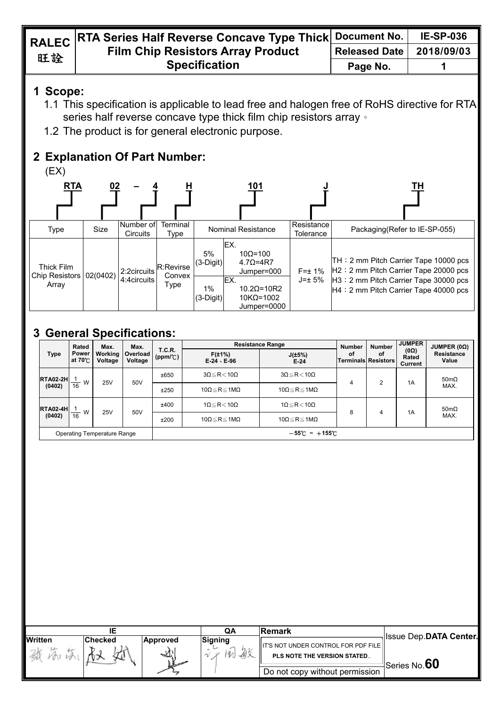|    | RALEC RTA Series Half Reverse Concave Type Thick Document No. |                      | <b>IE-SP-036</b> |
|----|---------------------------------------------------------------|----------------------|------------------|
| 旺詮 | <b>Film Chip Resistors Array Product</b>                      | <b>Released Date</b> | 2018/09/03       |
|    | <b>Specification</b>                                          | Page No.             |                  |
|    |                                                               |                      |                  |

## **1 Scope:**

- 1.1 This specification is applicable to lead free and halogen free of RoHS directive for RTA series half reverse concave type thick film chip resistors array  $\cdot$
- 1.2 The product is for general electronic purpose.

## **2 Explanation Of Part Number:**

 $(EX)$ 



# **3 General Specifications:**

| Rated<br>Max.<br>Max.       |                         |                    | <b>Resistance Range</b> |                                    |                                   | <b>Number</b>                       | <b>JUMPER</b>                    | JUMPER(0 <sub>Ω</sub> ) |                                        |                            |
|-----------------------------|-------------------------|--------------------|-------------------------|------------------------------------|-----------------------------------|-------------------------------------|----------------------------------|-------------------------|----------------------------------------|----------------------------|
| <b>Type</b>                 | <b>Power</b><br>at 70°C | Working<br>Voltage | Overload<br>Voltage     | <b>T.C.R.</b><br>$(ppm/^{\circ}C)$ | $F(\pm 1\%)$<br>$E-24 \cdot E-96$ | $J(\pm 5\%)$<br>$E-24$              | οf<br><b>Terminals Resistors</b> | οf                      | $(0\Omega)$<br>Rated<br><b>Current</b> | <b>Resistance</b><br>Value |
| <b>RTA02-2H</b>             | W                       | 25V                | 50V                     | ±650                               | $3\Omega \le R < 10\Omega$        | $3\Omega \leq R < 10\Omega$         | 4                                | ◠                       | 1A                                     | 50m $\Omega$               |
| (0402)                      | 16                      |                    |                         | ±250                               | 10 $\Omega \le R \le 1M\Omega$    | 10 $\Omega \le R \le 1M\Omega$      |                                  |                         |                                        | MAX.                       |
| <b>RTA02-4H</b>             | W                       | 25V                | 50V                     | ±400                               | $1\Omega \leq R < 10\Omega$       | $1\Omega \leq R < 10\Omega$         | 8                                |                         | 1A                                     | $50 \text{m}\Omega$        |
| (0402)                      | $\overline{16}$         |                    |                         | ±200                               | 10 $\Omega \le R \le 1M\Omega$    | 10 $\Omega \le R \le 1M\Omega$      |                                  | 4                       |                                        | MAX.                       |
| Operating Temperature Range |                         |                    |                         |                                    |                                   | $-55^{\circ}$ C ~ +155 $^{\circ}$ C |                                  |                         |                                        |                            |

|                |                |                 | QΑ           | lRemark                                                             |                                           |
|----------------|----------------|-----------------|--------------|---------------------------------------------------------------------|-------------------------------------------|
| <b>Written</b> | <b>Checked</b> | <b>Approved</b> | Signing<br>敏 | IIT'S NOT UNDER CONTROL FOR PDF FILE<br>PLS NOTE THE VERSION STATED | <b>Issue Dep.DATA Center.</b>             |
|                |                | ∽               |              | Do not copy without permission                                      | $^{\text{\tiny{l}}}$ Series No. $\bf{60}$ |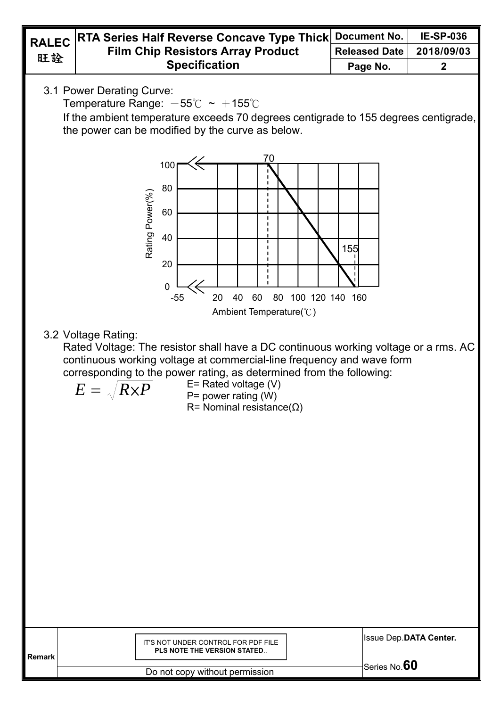

| Remark | IT'S NOT UNDER CONTROL FOR PDF FILE<br><b>PLS NOTE THE VERSION STATED</b> | <b>Issue Dep.DATA Center.</b> |
|--------|---------------------------------------------------------------------------|-------------------------------|
|        |                                                                           | $Sgrine No 60$                |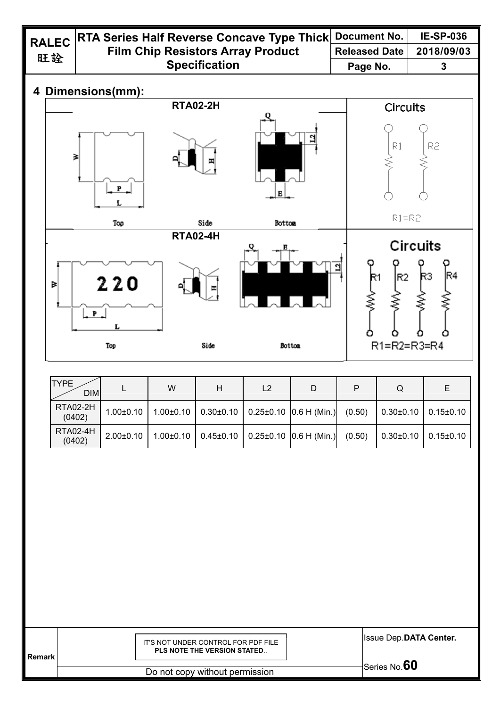| <b>RALEC</b> |    | RTA Series Half Reverse Concave Type Thick |                                          | <b>Document No.</b> | <b>IE-SP-036</b>     |                       |
|--------------|----|--------------------------------------------|------------------------------------------|---------------------|----------------------|-----------------------|
|              | 旺詮 |                                            | <b>Film Chip Resistors Array Product</b> |                     | <b>Released Date</b> | 2018/09/03            |
|              |    |                                            | <b>Specification</b>                     |                     | Page No.             | 3                     |
|              |    | 4 Dimensions(mm):                          |                                          |                     |                      |                       |
|              |    |                                            | <b>RTA02-2H</b>                          |                     | <b>Circuits</b>      |                       |
|              |    | ₹<br>P                                     |                                          | Е                   | R1                   | R <sub>2</sub>        |
|              |    | Top                                        | Side                                     | Botton              | $R1 = R2$            |                       |
|              |    |                                            | <b>RTA02-4H</b>                          |                     |                      |                       |
|              | Þ  | 220<br>$P$ .                               |                                          |                     | lR2<br>R1            | <b>Circuits</b><br>RЗ |
|              |    | Top                                        | Side                                     | Botton              | $R1 = R2 = R3 = R4$  |                       |

| <b>TYPE</b><br><b>DIM</b> |               | W               | н               | L <sub>2</sub>                 |                              | P      | Q               |                 |
|---------------------------|---------------|-----------------|-----------------|--------------------------------|------------------------------|--------|-----------------|-----------------|
| <b>RTA02-2H</b><br>(0402) | $1.00 + 0.10$ | $1.00 \pm 0.10$ | $0.30{\pm}0.10$ | $\vert$ 0.25±0.10 0.6 H (Min.) |                              | (0.50) | $0.30{\pm}0.10$ | $0.15{\pm}0.10$ |
| <b>RTA02-4H</b><br>(0402) | $2.00+0.10$   | $1.00 \pm 0.10$ | $0.45 \pm 0.10$ |                                | $0.25 \pm 0.10$ 0.6 H (Min.) | (0.50) | $0.30 \pm 0.10$ | $0.15 \pm 0.10$ |

| <b>Remark</b> | IT'S NOT UNDER CONTROL FOR PDF FILE<br><b>PLS NOTE THE VERSION STATED</b> | <b>Issue Dep.DATA Center.</b> |
|---------------|---------------------------------------------------------------------------|-------------------------------|
|               |                                                                           | Series No. $60$               |
|               | Do not convultibout pormission                                            |                               |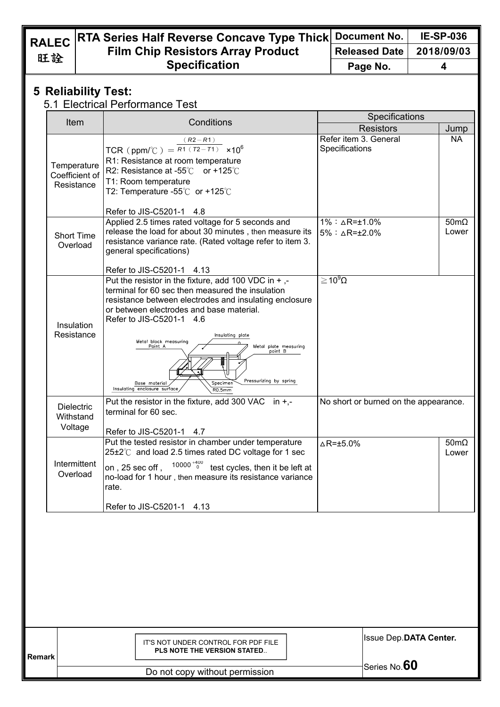### **RTA Series Half Reverse Concave Type Thick Film Chip Resistors Array Product Specification Document No. IE-SP-036 Released Date 2018/09/03 Page No. 4**

### **5 Reliability Test:**

### 5.1 Electrical Performance Test

| Item                                        | Conditions                                                                                                                                                                                                                                                                                                                                                                                                                                                             | Specifications                                                     |                              |
|---------------------------------------------|------------------------------------------------------------------------------------------------------------------------------------------------------------------------------------------------------------------------------------------------------------------------------------------------------------------------------------------------------------------------------------------------------------------------------------------------------------------------|--------------------------------------------------------------------|------------------------------|
|                                             |                                                                                                                                                                                                                                                                                                                                                                                                                                                                        | <b>Resistors</b>                                                   | Jump                         |
| Temperature<br>Coefficient of<br>Resistance | $(R2 - R1)$<br>TCR (ppm/°C) = $R1(T2-T1) \times 10^6$<br>R1: Resistance at room temperature<br>R2: Resistance at -55 $^{\circ}$ C or +125 $^{\circ}$ C<br>T1: Room temperature<br>T2: Temperature -55 $\degree$ C or +125 $\degree$ C                                                                                                                                                                                                                                  | Refer item 3. General<br>Specifications                            | <b>NA</b>                    |
| <b>Short Time</b><br>Overload               | Refer to JIS-C5201-1 4.8<br>Applied 2.5 times rated voltage for 5 seconds and<br>release the load for about 30 minutes, then measure its<br>resistance variance rate. (Rated voltage refer to item 3.<br>general specifications)                                                                                                                                                                                                                                       | $1\% : \triangle R = \pm 1.0\%$<br>$5\% : \triangle R = \pm 2.0\%$ | $50 \text{m}\Omega$<br>Lower |
| Insulation<br>Resistance                    | Refer to JIS-C5201-1 4.13<br>Put the resistor in the fixture, add 100 VDC in $+$ ,-<br>terminal for 60 sec then measured the insulation<br>resistance between electrodes and insulating enclosure<br>or between electrodes and base material.<br>Refer to JIS-C5201-1 4.6<br>Insulating plate<br>Metal block measuring<br>Point A<br>Metal plate measuring<br>point B<br>Pressurizing by spring<br>Base material<br>Specimen<br>Insulating enclosure surface<br>RO.5mm | $\geq 10^9 \Omega$                                                 |                              |
| <b>Dielectric</b><br>Withstand<br>Voltage   | Put the resistor in the fixture, add 300 VAC in $+$ ,-<br>terminal for 60 sec.                                                                                                                                                                                                                                                                                                                                                                                         | No short or burned on the appearance.                              |                              |
| Intermittent<br>Overload                    | Refer to JIS-C5201-1 4.7<br>Put the tested resistor in chamber under temperature<br>25±2℃ and load 2.5 times rated DC voltage for 1 sec<br>$10000 + 400$<br>on, 25 sec off,<br>test cycles, then it be left at<br>no-load for 1 hour, then measure its resistance variance<br>rate.                                                                                                                                                                                    | $\triangle$ R= $\pm$ 5.0%                                          | $50 \text{m}\Omega$<br>Lower |
|                                             | Refer to JIS-C5201-1<br>4.13                                                                                                                                                                                                                                                                                                                                                                                                                                           |                                                                    |                              |
|                                             |                                                                                                                                                                                                                                                                                                                                                                                                                                                                        |                                                                    |                              |
| <b>Remark</b>                               | IT'S NOT UNDER CONTROL FOR PDF FILE<br><b>PLS NOTE THE VERSION STATED</b>                                                                                                                                                                                                                                                                                                                                                                                              | Issue Dep.DATA Center.                                             |                              |
|                                             |                                                                                                                                                                                                                                                                                                                                                                                                                                                                        | Series No.60                                                       |                              |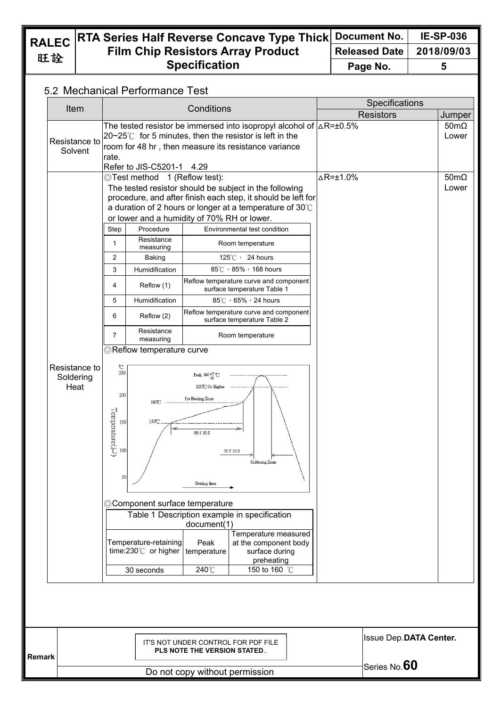### **RTA Series Half Reverse Concave Type Thick Film Chip Resistors Array Product Specification Document No. IE-SP-036 Released Date 2018/09/03 Page No. 5**

## 5.2 Mechanical Performance Test

| Item                               | Conditions                                                                                                                                                                                                                                                                                                                                                                                                                                                                                                                                                                                                                                                                                                                                                                                                                                                                                                                                                                                                                                                                                                                                                                                                                                                                                      | Specifications                                                                                                                                        |
|------------------------------------|-------------------------------------------------------------------------------------------------------------------------------------------------------------------------------------------------------------------------------------------------------------------------------------------------------------------------------------------------------------------------------------------------------------------------------------------------------------------------------------------------------------------------------------------------------------------------------------------------------------------------------------------------------------------------------------------------------------------------------------------------------------------------------------------------------------------------------------------------------------------------------------------------------------------------------------------------------------------------------------------------------------------------------------------------------------------------------------------------------------------------------------------------------------------------------------------------------------------------------------------------------------------------------------------------|-------------------------------------------------------------------------------------------------------------------------------------------------------|
|                                    |                                                                                                                                                                                                                                                                                                                                                                                                                                                                                                                                                                                                                                                                                                                                                                                                                                                                                                                                                                                                                                                                                                                                                                                                                                                                                                 | <b>Resistors</b><br>Jumper                                                                                                                            |
| Resistance to<br>Solvent           | The tested resistor be immersed into isopropyl alcohol of $\Delta R = \pm 0.5\%$<br>$20~25^{\circ}$ for 5 minutes, then the resistor is left in the<br>room for 48 hr, then measure its resistance variance<br>rate.<br>Refer to JIS-C5201-1 4.29                                                                                                                                                                                                                                                                                                                                                                                                                                                                                                                                                                                                                                                                                                                                                                                                                                                                                                                                                                                                                                               | $50 \text{m}\Omega$<br>Lower                                                                                                                          |
| Resistance to<br>Soldering<br>Heat | ©Test method 1 (Reflow test):<br>The tested resistor should be subject in the following<br>procedure, and after finish each step, it should be left for<br>a duration of 2 hours or longer at a temperature of $30^{\circ}$ C<br>or lower and a humidity of 70% RH or lower.<br>Procedure<br>Environmental test condition<br>Step<br>Resistance<br>1<br>Room temperature<br>measuring<br>2<br>125°C > 24 hours<br><b>Baking</b><br>3<br>85°C , 85% , 168 hours<br>Humidification<br>Reflow temperature curve and component<br>Reflow (1)<br>4<br>surface temperature Table 1<br>85℃, 65%, 24 hours<br>5<br>Humidification<br>Reflow temperature curve and component<br>6<br>Reflow (2)<br>surface temperature Table 2<br>Resistance<br>7<br>Room temperature<br>measuring<br>©Reflow temperature curve<br>℃<br>250<br>Peak: $260 + 5$ <sup>6</sup><br>230°C Or Higher<br>200<br>Pre Heating Zone<br>180°C<br>$\begin{array}{c}\n\overline{\mathbf{g}} \\ \overline{\mathbf{g}} \\ \overline{\mathbf{g}}\n\end{array}$<br>150°C<br>90 ± 30 S<br>30 ± 10 S<br>Soldering Zone<br>50<br>Heating time<br>©Component surface temperature<br>Table 1 Description example in specification<br>document(1)<br>Temperature-retaining<br>Peak<br>time:230℃ or higher<br>temperature<br>240°C<br>30 seconds | $\triangle$ R=±1.0%<br>$50 \text{m}\Omega$<br>Lower<br>Temperature measured<br>at the component body<br>surface during<br>preheating<br>150 to 160 °C |

| <b>Remark</b> | IT'S NOT UNDER CONTROL FOR PDF FILE<br><b>PLS NOTE THE VERSION STATED</b> | <b>Issue Dep.DATA Center.</b> |
|---------------|---------------------------------------------------------------------------|-------------------------------|
|               |                                                                           | Series No. $60$               |
|               | Do not copy without permission                                            |                               |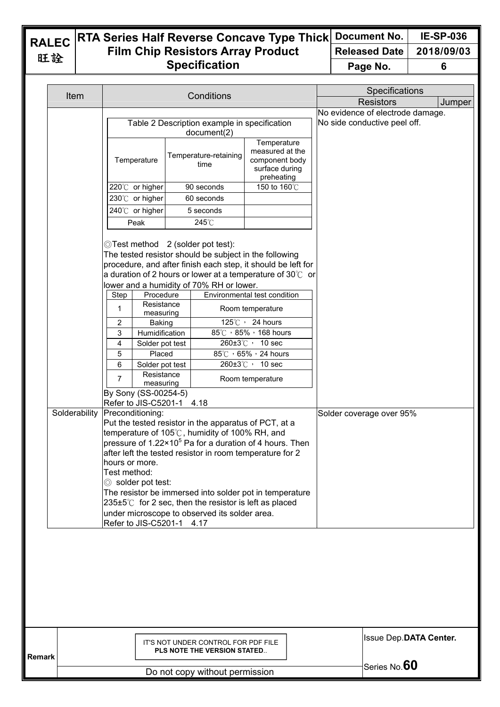### **RTA Series Half Reverse Concave Type Thick Film Chip Resistors Array Product Specification Document No. IE-SP-036 Released Date 2018/09/03 Page No. 6**

| Item          |                                                                   | Conditions                                                                                                                                                                                                                        |                                                |                              | Specifications                   |        |
|---------------|-------------------------------------------------------------------|-----------------------------------------------------------------------------------------------------------------------------------------------------------------------------------------------------------------------------------|------------------------------------------------|------------------------------|----------------------------------|--------|
|               |                                                                   |                                                                                                                                                                                                                                   |                                                |                              | <b>Resistors</b>                 | Jumper |
|               |                                                                   | Table 2 Description example in specification                                                                                                                                                                                      |                                                | No side conductive peel off. | No evidence of electrode damage. |        |
|               |                                                                   | document(2)<br>Temperature-retaining                                                                                                                                                                                              | Temperature<br>measured at the                 |                              |                                  |        |
|               | Temperature                                                       | time                                                                                                                                                                                                                              | component body<br>surface during<br>preheating |                              |                                  |        |
|               | 220℃ or higher                                                    | 90 seconds                                                                                                                                                                                                                        | 150 to 160°C                                   |                              |                                  |        |
|               | 230℃ or higher                                                    | 60 seconds                                                                                                                                                                                                                        |                                                |                              |                                  |        |
|               | 240℃ or higher                                                    | 5 seconds                                                                                                                                                                                                                         |                                                |                              |                                  |        |
|               | Peak                                                              | 245°C                                                                                                                                                                                                                             |                                                |                              |                                  |        |
|               |                                                                   | ◎Test method 2 (solder pot test):<br>The tested resistor should be subject in the following<br>procedure, and after finish each step, it should be left for<br>a duration of 2 hours or lower at a temperature of 30 $\degree$ or |                                                |                              |                                  |        |
|               |                                                                   | lower and a humidity of 70% RH or lower.                                                                                                                                                                                          |                                                |                              |                                  |        |
|               | Step<br>Procedure                                                 |                                                                                                                                                                                                                                   | Environmental test condition                   |                              |                                  |        |
|               | Resistance<br>1<br>measuring                                      |                                                                                                                                                                                                                                   | Room temperature                               |                              |                                  |        |
|               | 2<br><b>Baking</b><br>3<br>Humidification                         |                                                                                                                                                                                                                                   | 125°C > 24 hours<br>85°C , 85% , 168 hours     |                              |                                  |        |
|               | 4<br>Solder pot test                                              |                                                                                                                                                                                                                                   | 260±3℃, 10 sec                                 |                              |                                  |        |
|               | 5<br>Placed                                                       |                                                                                                                                                                                                                                   | 85°C , 65% , 24 hours                          |                              |                                  |        |
|               | 6<br>Solder pot test                                              |                                                                                                                                                                                                                                   | 260±3℃, 10 sec                                 |                              |                                  |        |
|               | Resistance<br>$\overline{7}$<br>measuring<br>By Sony (SS-00254-5) |                                                                                                                                                                                                                                   | Room temperature                               |                              |                                  |        |
|               | Refer to JIS-C5201-1 4.18                                         |                                                                                                                                                                                                                                   |                                                |                              |                                  |        |
| Solderability | Preconditioning:                                                  |                                                                                                                                                                                                                                   |                                                | Solder coverage over 95%     |                                  |        |
|               |                                                                   | Put the tested resistor in the apparatus of PCT, at a<br>temperature of 105℃, humidity of 100% RH, and                                                                                                                            |                                                |                              |                                  |        |
|               |                                                                   | pressure of 1.22×10 <sup>5</sup> Pa for a duration of 4 hours. Then                                                                                                                                                               |                                                |                              |                                  |        |
|               |                                                                   | after left the tested resistor in room temperature for 2                                                                                                                                                                          |                                                |                              |                                  |        |
|               | hours or more.<br>Test method:                                    |                                                                                                                                                                                                                                   |                                                |                              |                                  |        |
|               | Solder pot test:                                                  |                                                                                                                                                                                                                                   |                                                |                              |                                  |        |
|               |                                                                   | The resistor be immersed into solder pot in temperature                                                                                                                                                                           |                                                |                              |                                  |        |
|               |                                                                   | $235\pm5^{\circ}$ for 2 sec, then the resistor is left as placed                                                                                                                                                                  |                                                |                              |                                  |        |
|               | Refer to JIS-C5201-1 4.17                                         | under microscope to observed its solder area.                                                                                                                                                                                     |                                                |                              |                                  |        |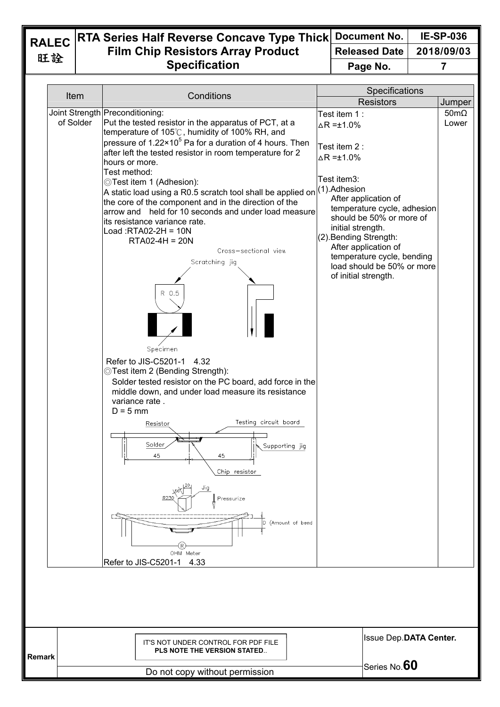### **RTA Series Half Reverse Concave Type Thick Film Chip Resistors Array Product Specification Document No. IE-SP-036 Released Date 2018/09/03 Page No. 7**

| Item      | Conditions                                                                                                                                                                                                                                                                                                                                                                                                                                                                                                                                                                                                                                                                                                                                                                                                                                                                                                                                                                                                                                                                             | Specifications                                                                                                                                                                                                                                                                                                                                            |                              |
|-----------|----------------------------------------------------------------------------------------------------------------------------------------------------------------------------------------------------------------------------------------------------------------------------------------------------------------------------------------------------------------------------------------------------------------------------------------------------------------------------------------------------------------------------------------------------------------------------------------------------------------------------------------------------------------------------------------------------------------------------------------------------------------------------------------------------------------------------------------------------------------------------------------------------------------------------------------------------------------------------------------------------------------------------------------------------------------------------------------|-----------------------------------------------------------------------------------------------------------------------------------------------------------------------------------------------------------------------------------------------------------------------------------------------------------------------------------------------------------|------------------------------|
|           |                                                                                                                                                                                                                                                                                                                                                                                                                                                                                                                                                                                                                                                                                                                                                                                                                                                                                                                                                                                                                                                                                        | <b>Resistors</b>                                                                                                                                                                                                                                                                                                                                          | Jumper                       |
| of Solder | Joint Strength Preconditioning:<br>Put the tested resistor in the apparatus of PCT, at a<br>temperature of 105℃, humidity of 100% RH, and<br>pressure of 1.22×10 <sup>5</sup> Pa for a duration of 4 hours. Then<br>after left the tested resistor in room temperature for 2<br>hours or more.<br>Test method:<br>©Test item 1 (Adhesion):<br>A static load using a R0.5 scratch tool shall be applied on<br>the core of the component and in the direction of the<br>arrow and held for 10 seconds and under load measure<br>its resistance variance rate.<br>Load: RTA02-2H = $10N$<br>$RTA02-4H = 20N$<br>Cross-sectional view<br>Scratching jig<br>R 0.5<br>Specimen<br>Refer to JIS-C5201-1<br>4.32<br>©Test item 2 (Bending Strength):<br>Solder tested resistor on the PC board, add force in the<br>middle down, and under load measure its resistance<br>variance rate.<br>$D = 5$ mm<br>Testing circuit board<br>Resistor<br>Solder<br>Supporting jig<br>45<br>45<br>Chip resistor<br>Jig<br>Pressurize<br>(Amount of bend<br>D<br>OHM Meter<br>Refer to JIS-C5201-1<br>4.33 | Test item 1:<br>$\Delta$ R = $\pm$ 1.0%<br>Test item 2:<br>$\Delta$ R =±1.0%<br>Test item3:<br>(1).Adhesion<br>After application of<br>temperature cycle, adhesion<br>should be 50% or more of<br>initial strength.<br>(2). Bending Strength:<br>After application of<br>temperature cycle, bending<br>load should be 50% or more<br>of initial strength. | $50 \text{m}\Omega$<br>Lower |
|           |                                                                                                                                                                                                                                                                                                                                                                                                                                                                                                                                                                                                                                                                                                                                                                                                                                                                                                                                                                                                                                                                                        | Issue Dep.DATA Center.                                                                                                                                                                                                                                                                                                                                    |                              |
|           | IT'S NOT UNDER CONTROL FOR PDF FILE<br>PLS NOTE THE VERSION STATED                                                                                                                                                                                                                                                                                                                                                                                                                                                                                                                                                                                                                                                                                                                                                                                                                                                                                                                                                                                                                     |                                                                                                                                                                                                                                                                                                                                                           |                              |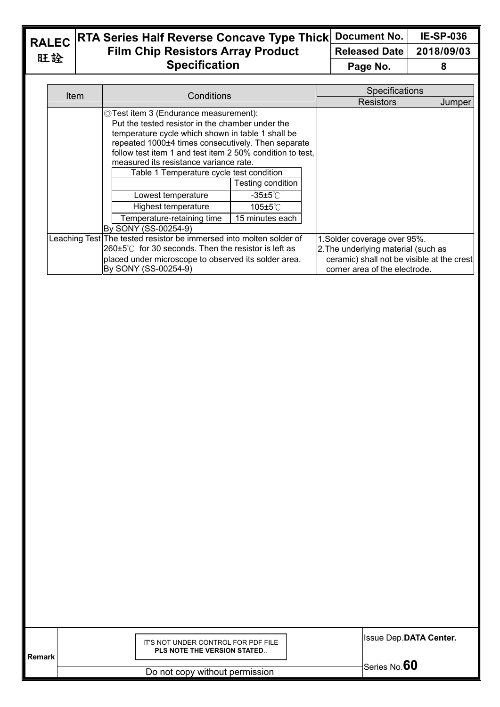旺詮

### **RALEC RTA Series Half Reverse Concave Type Thick Film Chip Resistors Array Product Specification Document No. IE-SP-036 Released Date 2018/09/03 Page No.** 8

| Conditions<br>Item                                                  |                                                                              | Specifications               |                                                                             |        |
|---------------------------------------------------------------------|------------------------------------------------------------------------------|------------------------------|-----------------------------------------------------------------------------|--------|
|                                                                     |                                                                              |                              | Resistors                                                                   | Jumper |
|                                                                     | ◎Test item 3 (Endurance measurement):                                        |                              |                                                                             |        |
|                                                                     | Put the tested resistor in the chamber under the                             |                              |                                                                             |        |
|                                                                     | temperature cycle which shown in table 1 shall be                            |                              |                                                                             |        |
|                                                                     | repeated 1000±4 times consecutively. Then separate                           |                              |                                                                             |        |
|                                                                     | follow test item 1 and test item 2 50% condition to test,                    |                              |                                                                             |        |
|                                                                     | measured its resistance variance rate.                                       |                              |                                                                             |        |
|                                                                     | Table 1 Temperature cycle test condition                                     |                              |                                                                             |        |
|                                                                     | Testing condition                                                            |                              |                                                                             |        |
|                                                                     | Lowest temperature                                                           | -35±5℃                       |                                                                             |        |
|                                                                     | Highest temperature                                                          | 105±5℃                       |                                                                             |        |
|                                                                     | Temperature-retaining time                                                   | 15 minutes each              |                                                                             |        |
|                                                                     | By SONY (SS-00254-9)                                                         |                              |                                                                             |        |
| Leaching Test The tested resistor be immersed into molten solder of |                                                                              | 1. Solder coverage over 95%. |                                                                             |        |
|                                                                     | $260 \pm 5^{\circ}$ for 30 seconds. Then the resistor is left as             |                              | 2. The underlying material (such as                                         |        |
|                                                                     | placed under microscope to observed its solder area.<br>By SONY (SS-00254-9) |                              | ceramic) shall not be visible at the crest<br>corner area of the electrode. |        |

| <b>Remark</b> | IT'S NOT UNDER CONTROL FOR PDF FILE<br>PLS NOTE THE VERSION STATED | <b>Issue Dep.DATA Center.</b> |
|---------------|--------------------------------------------------------------------|-------------------------------|
|               |                                                                    | Series No.60                  |
|               | Do not copy without permission                                     |                               |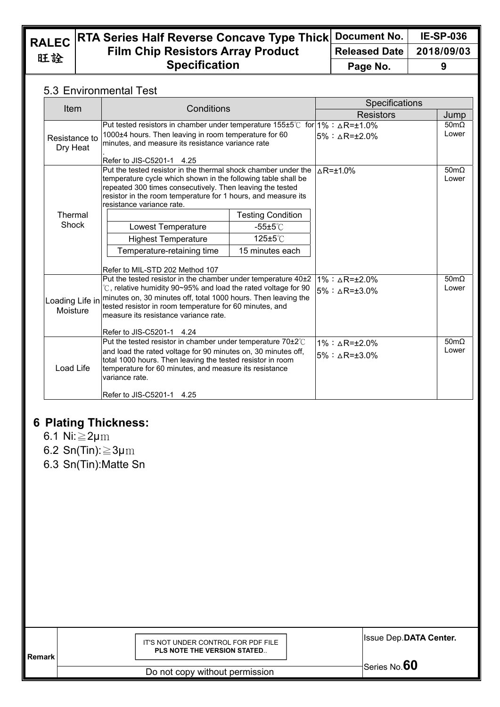旺詮

### **RALEC RTA Series Half Reverse Concave Type Thick Document No. IE-SP-036 Film Chip Resistors Array Product Specification Released Date 2018/09/03 Page No. 9**

## 5.3 Environmental Test

| Item                        | Conditions                                                                                                                                                                                                                                                                                                                         |                          | Specifications                                                     |                              |
|-----------------------------|------------------------------------------------------------------------------------------------------------------------------------------------------------------------------------------------------------------------------------------------------------------------------------------------------------------------------------|--------------------------|--------------------------------------------------------------------|------------------------------|
|                             |                                                                                                                                                                                                                                                                                                                                    |                          | <b>Resistors</b>                                                   | Jump                         |
| Resistance to<br>Dry Heat   | Put tested resistors in chamber under temperature 155±5°C for 1%: $\triangle$ R=±1.0%<br>1000±4 hours. Then leaving in room temperature for 60<br>minutes, and measure its resistance variance rate<br>Refer to JIS-C5201-1 4.25                                                                                                   |                          | $5\% : \land R = +2.0\%$                                           | $50 \text{m}\Omega$<br>Lower |
|                             | Put the tested resistor in the thermal shock chamber under the<br>temperature cycle which shown in the following table shall be<br>repeated 300 times consecutively. Then leaving the tested<br>resistor in the room temperature for 1 hours, and measure its<br>resistance variance rate.                                         |                          | $\triangle$ R= $\pm$ 1.0%                                          | $50 \text{m}\Omega$<br>Lower |
| Thermal<br>Shock            |                                                                                                                                                                                                                                                                                                                                    | <b>Testing Condition</b> |                                                                    |                              |
|                             | Lowest Temperature                                                                                                                                                                                                                                                                                                                 | $-55\pm5^{\circ}$ C      |                                                                    |                              |
|                             | <b>Highest Temperature</b>                                                                                                                                                                                                                                                                                                         | $125 \pm 5^{\circ}$ C    |                                                                    |                              |
|                             | Temperature-retaining time                                                                                                                                                                                                                                                                                                         | 15 minutes each          |                                                                    |                              |
|                             | Refer to MIL-STD 202 Method 107                                                                                                                                                                                                                                                                                                    |                          |                                                                    |                              |
| Loading Life in<br>Moisture | Put the tested resistor in the chamber under temperature 40±2<br>°C, relative humidity 90~95% and load the rated voltage for 90<br>minutes on, 30 minutes off, total 1000 hours. Then leaving the<br>tested resistor in room temperature for 60 minutes, and<br>measure its resistance variance rate.<br>Refer to JIS-C5201-1 4.24 |                          | $1\% : \triangle R = \pm 2.0\%$<br>$5\%$ : $\land$ R=+3.0%         | $50 \text{m}\Omega$<br>Lower |
| Load Life                   | Put the tested resistor in chamber under temperature 70±2°C<br>and load the rated voltage for 90 minutes on, 30 minutes off,<br>total 1000 hours. Then leaving the tested resistor in room<br>temperature for 60 minutes, and measure its resistance<br>variance rate.<br>Refer to JIS-C5201-1 4.25                                |                          | $1\% : \triangle R = \pm 2.0\%$<br>$5\% : \triangle R = \pm 3.0\%$ | $50m\Omega$<br>Lower         |

# **6 Plating Thickness:**

- 6.1 Ni:≧2μm
- 6.2 Sn(Tin): $\geq$ 3µm
- 6.3 Sn(Tin):Matte Sn

| <b>Remark</b> | IT'S NOT UNDER CONTROL FOR PDF FILE<br>PLS NOTE THE VERSION STATED | <b>Issue Dep.DATA Center.</b> |
|---------------|--------------------------------------------------------------------|-------------------------------|
|               | Do not copy without permission                                     | Series No. $\rm 60$           |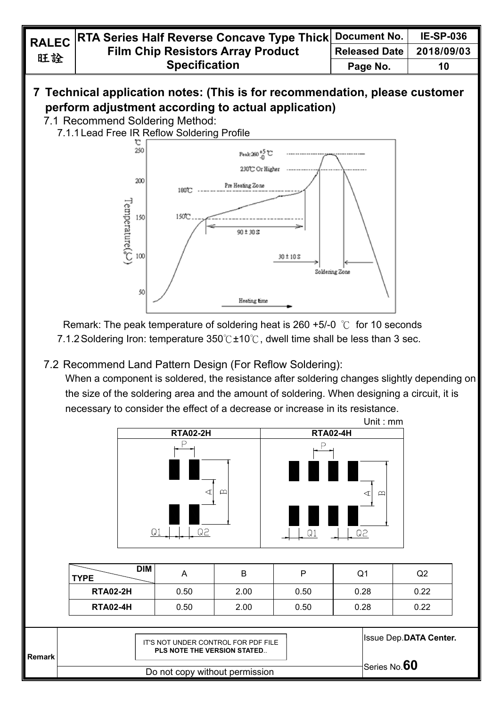# **7 Technical application notes: (This is for recommendation, please customer perform adjustment according to actual application)**

- 7.1 Recommend Soldering Method:
	- 7.1.1 Lead Free IR Reflow Soldering Profile



Remark: The peak temperature of soldering heat is 260 +5/-0  $\degree$ C for 10 seconds 7.1.2 Soldering Iron: temperature 350℃±10℃, dwell time shall be less than 3 sec.

7.2 Recommend Land Pattern Design (For Reflow Soldering):

When a component is soldered, the resistance after soldering changes slightly depending on the size of the soldering area and the amount of soldering. When designing a circuit, it is necessary to consider the effect of a decrease or increase in its resistance.



| DIM<br><b>TYPE</b> |      | B    |      | Q1   | Q2   |
|--------------------|------|------|------|------|------|
| <b>RTA02-2H</b>    | 0.50 | 2.00 | 0.50 | 0.28 | 0.22 |
| <b>RTA02-4H</b>    | 0.50 | 2.00 | 0.50 | 0.28 | 0.22 |

| l Remark | IT'S NOT UNDER CONTROL FOR PDF FILE<br>PLS NOTE THE VERSION STATED | <b>Issue Dep.DATA Center.</b> |
|----------|--------------------------------------------------------------------|-------------------------------|
|          | Do not copy without permission                                     | Series No. $60$               |
|          |                                                                    |                               |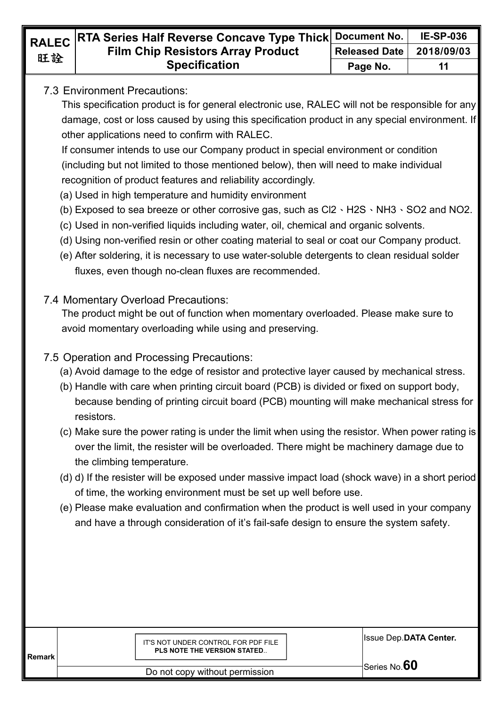## 7.3 Environment Precautions:

This specification product is for general electronic use, RALEC will not be responsible for any damage, cost or loss caused by using this specification product in any special environment. If other applications need to confirm with RALEC.

If consumer intends to use our Company product in special environment or condition (including but not limited to those mentioned below), then will need to make individual recognition of product features and reliability accordingly.

- (a) Used in high temperature and humidity environment
- (b) Exposed to sea breeze or other corrosive gas, such as  $Cl2 \cdot H2S \cdot NH3 \cdot SO2$  and NO2.
- (c) Used in non-verified liquids including water, oil, chemical and organic solvents.
- (d) Using non-verified resin or other coating material to seal or coat our Company product.
- (e) After soldering, it is necessary to use water-soluble detergents to clean residual solder fluxes, even though no-clean fluxes are recommended.
- 7.4 Momentary Overload Precautions:

The product might be out of function when momentary overloaded. Please make sure to avoid momentary overloading while using and preserving.

## 7.5 Operation and Processing Precautions:

- (a) Avoid damage to the edge of resistor and protective layer caused by mechanical stress.
- (b) Handle with care when printing circuit board (PCB) is divided or fixed on support body, because bending of printing circuit board (PCB) mounting will make mechanical stress for resistors.
- (c) Make sure the power rating is under the limit when using the resistor. When power rating is over the limit, the resister will be overloaded. There might be machinery damage due to the climbing temperature.
- (d) d) If the resister will be exposed under massive impact load (shock wave) in a short period of time, the working environment must be set up well before use.
- (e) Please make evaluation and confirmation when the product is well used in your company and have a through consideration of it's fail-safe design to ensure the system safety.

| l Remark | IT'S NOT UNDER CONTROL FOR PDF FILE<br><b>PLS NOTE THE VERSION STATED</b> | <b>Issue Dep.DATA Center.</b> |
|----------|---------------------------------------------------------------------------|-------------------------------|
|          | Do not copy without permission                                            | Series No. $60$               |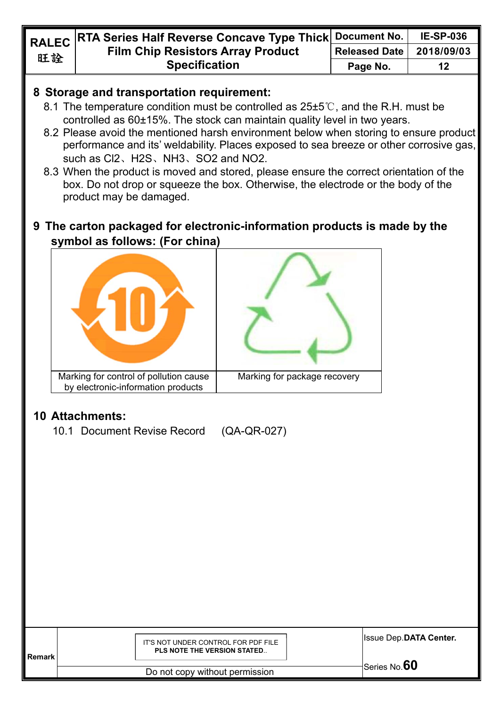## **8 Storage and transportation requirement:**

- 8.1 The temperature condition must be controlled as 25±5℃, and the R.H. must be controlled as 60±15%. The stock can maintain quality level in two years.
- 8.2 Please avoid the mentioned harsh environment below when storing to ensure product performance and its' weldability. Places exposed to sea breeze or other corrosive gas, such as Cl2、H2S、NH3、SO2 and NO2.
- 8.3 When the product is moved and stored, please ensure the correct orientation of the box. Do not drop or squeeze the box. Otherwise, the electrode or the body of the product may be damaged.

# **9 The carton packaged for electronic-information products is made by the symbol as follows: (For china)**



# **10 Attachments:**

10.1 Document Revise Record (QA-QR-027)

| l Remark | IT'S NOT UNDER CONTROL FOR PDF FILE<br><b>PLS NOTE THE VERSION STATED</b> | <b>Issue Dep.DATA Center.</b> |
|----------|---------------------------------------------------------------------------|-------------------------------|
|          |                                                                           | Series No. $60$               |
|          | Do not copy without permission                                            |                               |